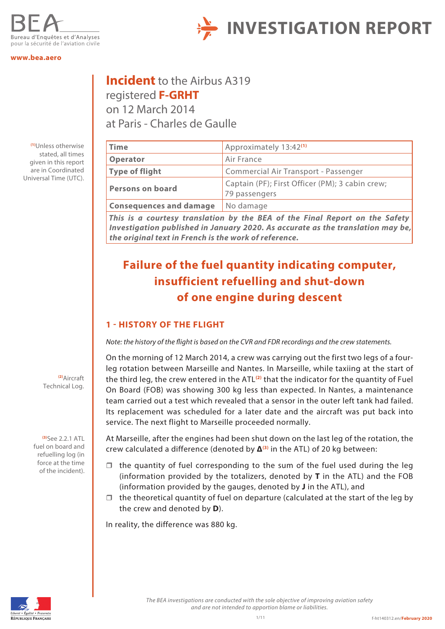

#### **<www.bea.aero>**

registered **F-GRHT** on 12 March 2014 at Paris - Charles de Gaulle

**Incident** to the Airbus A319

**(1)**Unless otherwise stated, all times given in this report are in Coordinated Universal Time (UTC).

## **Time** Approximately 13:42<sup>(1)</sup> **Operator** Air France **Type of flight** Commercial Air Transport - Passenger **Persons on board** Captain (PF); First Officer (PM); 3 cabin crew; 79 passengers **Consequences and damage** No damage

**INVESTIGATION REPORT**

*This is a courtesy translation by the BEA of the Final Report on the Safety Investigation published in January 2020. As accurate as the translation may be, the original text in French is the work of reference.*

## **Failure of the fuel quantity indicating computer, insufficient refuelling and shut-down of one engine during descent**

#### **1 - HISTORY OF THE FLIGHT**

*Note: the history of the flight is based on the CVR and FDR recordings and the crew statements.* 

On the morning of 12 March 2014, a crew was carrying out the first two legs of a fourleg rotation between Marseille and Nantes. In Marseille, while taxiing at the start of the third leg, the crew entered in the ATL**(2)** that the indicator for the quantity of Fuel On Board (FOB) was showing 300 kg less than expected. In Nantes, a maintenance team carried out a test which revealed that a sensor in the outer left tank had failed. Its replacement was scheduled for a later date and the aircraft was put back into service. The next flight to Marseille proceeded normally.

At Marseille, after the engines had been shut down on the last leg of the rotation, the crew calculated a difference (denoted by **Δ(3)** in the ATL) of 20 kg between:

- $\Box$  the quantity of fuel corresponding to the sum of the fuel used during the leg (information provided by the totalizers, denoted by **T** in the ATL) and the FOB (information provided by the gauges, denoted by **J** in the ATL), and
- $\Box$  the theoretical quantity of fuel on departure (calculated at the start of the leg by the crew and denoted by **D**).

In reality, the difference was 880 kg.



*The BEA investigations are conducted with the sole objective of improving aviation safety and are not intended to apportion blame or liabilities.*

**(2)**Aircraft Technical Log.

**(3)**See 2.2.1 ATL fuel on board and refuelling log (in force at the time of the incident).

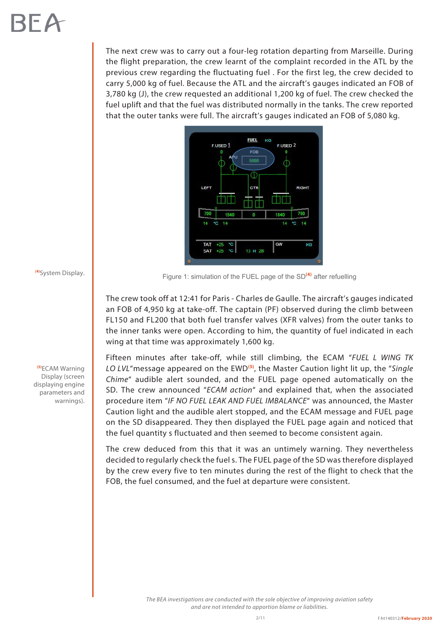The next crew was to carry out a four-leg rotation departing from Marseille. During the flight preparation, the crew learnt of the complaint recorded in the ATL by the previous crew regarding the fluctuating fuel . For the first leg, the crew decided to carry 5,000 kg of fuel. Because the ATL and the aircraft's gauges indicated an FOB of 3,780 kg (J), the crew requested an additional 1,200 kg of fuel. The crew checked the fuel uplift and that the fuel was distributed normally in the tanks. The crew reported that the outer tanks were full. The aircraft's gauges indicated an FOB of 5,080 kg.



**(4)**System Display.

**(5)**ECAM Warning Display (screen displaying engine parameters and warnings). Figure 1: simulation of the FUEL page of the SD**(4)** after refuelling

The crew took off at 12:41 for Paris - Charles de Gaulle. The aircraft's gauges indicated an FOB of 4,950 kg at take-off. The captain (PF) observed during the climb between FL150 and FL200 that both fuel transfer valves (XFR valves) from the outer tanks to the inner tanks were open. According to him, the quantity of fuel indicated in each wing at that time was approximately 1,600 kg.

Fifteen minutes after take-off, while still climbing, the ECAM "*FUEL L WING TK LO LVL*"message appeared on the EWD**(5)**, the Master Caution light lit up, the "*Single Chime*" audible alert sounded, and the FUEL page opened automatically on the SD. The crew announced "*ECAM action*" and explained that, when the associated procedure item "*IF NO FUEL LEAK AND FUEL IMBALANCE*" was announced, the Master Caution light and the audible alert stopped, and the ECAM message and FUEL page on the SD disappeared. They then displayed the FUEL page again and noticed that the fuel quantity s fluctuated and then seemed to become consistent again.

The crew deduced from this that it was an untimely warning. They nevertheless decided to regularly check the fuel s. The FUEL page of the SD was therefore displayed by the crew every five to ten minutes during the rest of the flight to check that the FOB, the fuel consumed, and the fuel at departure were consistent.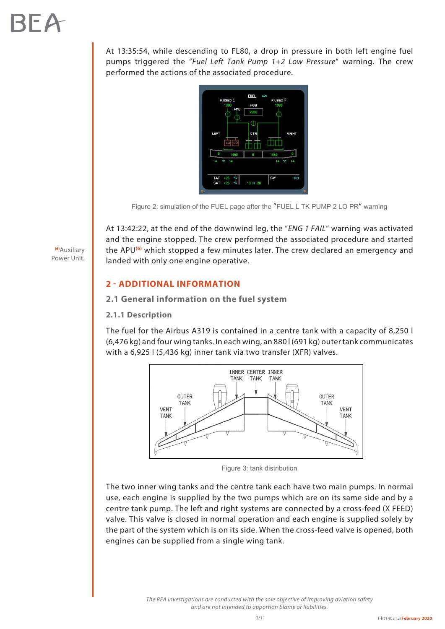At 13:35:54, while descending to FL80, a drop in pressure in both left engine fuel pumps triggered the "*Fuel Left Tank Pump 1+2 Low Pressure*" warning. The crew performed the actions of the associated procedure.



Figure 2: simulation of the FUEL page after the "FUEL L TK PUMP 2 LO PR" warning

At 13:42:22, at the end of the downwind leg, the "*ENG 1 FAIL*" warning was activated and the engine stopped. The crew performed the associated procedure and started the APU**(6)** which stopped a few minutes later. The crew declared an emergency and landed with only one engine operative.

#### **2 - ADDITIONAL INFORMATION**

**2.1 General information on the fuel system** 

#### **2.1.1 Description**

The fuel for the Airbus A319 is contained in a centre tank with a capacity of 8,250 l (6,476 kg) and four wing tanks. In each wing, an 880 l (691 kg) outer tank communicates with a 6,925 l (5,436 kg) inner tank via two transfer (XFR) valves.



Figure 3: tank distribution

The two inner wing tanks and the centre tank each have two main pumps. In normal use, each engine is supplied by the two pumps which are on its same side and by a centre tank pump. The left and right systems are connected by a cross-feed (X FEED) valve. This valve is closed in normal operation and each engine is supplied solely by the part of the system which is on its side. When the cross-feed valve is opened, both engines can be supplied from a single wing tank.

> *The BEA investigations are conducted with the sole objective of improving aviation safety and are not intended to apportion blame or liabilities.*

**(6)**Auxiliary Power Unit.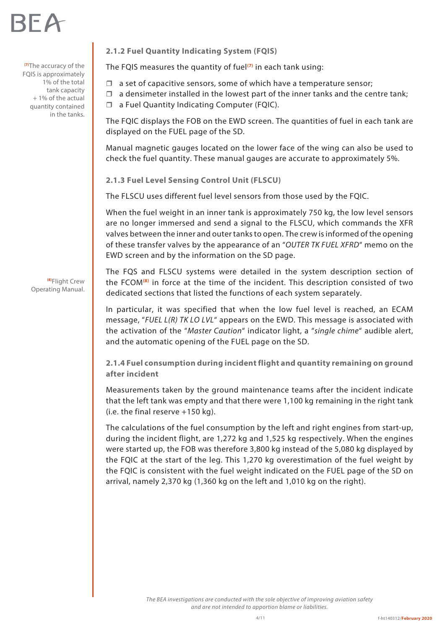

**(7)**The accuracy of the FQIS is approximately 1% of the total tank capacity + 1% of the actual quantity contained in the tanks.

> **(8)**Flight Crew Operating Manual.

**2.1.2 Fuel Quantity Indicating System (FQIS)** 

The FQIS measures the quantity of fuel**(7)** in each tank using:

- $\Box$  a set of capacitive sensors, some of which have a temperature sensor;
- $\Box$  a densimeter installed in the lowest part of the inner tanks and the centre tank;

□ a Fuel Quantity Indicating Computer (FQIC).

The FQIC displays the FOB on the EWD screen. The quantities of fuel in each tank are displayed on the FUEL page of the SD.

Manual magnetic gauges located on the lower face of the wing can also be used to check the fuel quantity. These manual gauges are accurate to approximately 5%.

**2.1.3 Fuel Level Sensing Control Unit (FLSCU)**

The FLSCU uses different fuel level sensors from those used by the FQIC.

When the fuel weight in an inner tank is approximately 750 kg, the low level sensors are no longer immersed and send a signal to the FLSCU, which commands the XFR valves between the inner and outer tanks to open. The crew is informed of the opening of these transfer valves by the appearance of an "*OUTER TK FUEL XFRD*" memo on the EWD screen and by the information on the SD page.

The FQS and FLSCU systems were detailed in the system description section of the FCOM**(8)** in force at the time of the incident. This description consisted of two dedicated sections that listed the functions of each system separately.

In particular, it was specified that when the low fuel level is reached, an ECAM message, "*FUEL L(R) TK LO LVL*" appears on the EWD. This message is associated with the activation of the "*Master Caution*" indicator light, a "*single chime*" audible alert, and the automatic opening of the FUEL page on the SD.

**2.1.4 Fuel consumption during incident flight and quantity remaining on ground after incident** 

Measurements taken by the ground maintenance teams after the incident indicate that the left tank was empty and that there were 1,100 kg remaining in the right tank (i.e. the final reserve +150 kg).

The calculations of the fuel consumption by the left and right engines from start-up, during the incident flight, are 1,272 kg and 1,525 kg respectively. When the engines were started up, the FOB was therefore 3,800 kg instead of the 5,080 kg displayed by the FQIC at the start of the leg. This 1,270 kg overestimation of the fuel weight by the FQIC is consistent with the fuel weight indicated on the FUEL page of the SD on arrival, namely 2,370 kg (1,360 kg on the left and 1,010 kg on the right).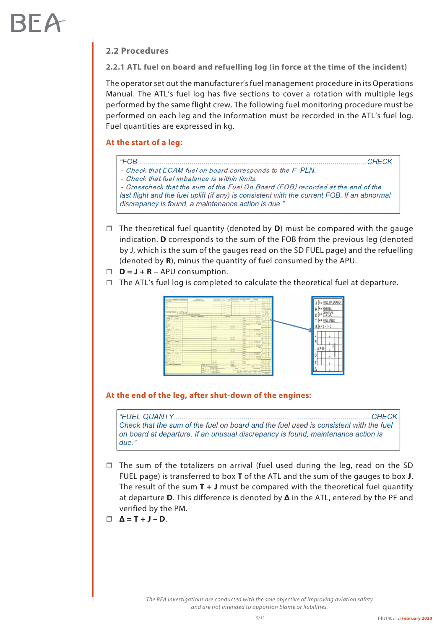#### **2.2 Procedures**

**2.2.1 ATL fuel on board and refuelling log (in force at the time of the incident)** 

The operator set out the manufacturer's fuel management procedure in its Operations Manual. The ATL's fuel log has five sections to cover a rotation with multiple legs performed by the same flight crew. The following fuel monitoring procedure must be performed on each leg and the information must be recorded in the ATL's fuel log. Fuel quantities are expressed in kg.

#### **At the start of a leg**:

 $H$ COR 

- Check that ECAM fuel on board corresponds to the F-PLN.

- Check that fuel imbalance is within limits.

- Crosscheck that the sum of the Fuel On Board (FOB) recorded at the end of the last flight and the fuel uplift (if any) is consistent with the current FOB. If an abnormal discrepancy is found, a maintenance action is due."

- $\Box$  The theoretical fuel quantity (denoted by **D**) must be compared with the gauge indication. **D** corresponds to the sum of the FOB from the previous leg (denoted by J, which is the sum of the gauges read on the SD FUEL page) and the refuelling (denoted by **R**), minus the quantity of fuel consumed by the APU.
- $D = J + R APU$  consumption.
- $\Box$  The ATL's fuel log is completed to calculate the theoretical fuel at departure.



#### **At the end of the leg, after shut-down of the engines**:

"FUEL QUANTY........ **CHFCK** Check that the sum of the fuel on board and the fuel used is consistent with the fuel on board at departure. If an unusual discrepancy is found, maintenance action is  $d$ ue  $'$ 

 $\Box$  The sum of the totalizers on arrival (fuel used during the leg, read on the SD FUEL page) is transferred to box **T** of the ATL and the sum of the gauges to box **J**. The result of the sum **T + J** must be compared with the theoretical fuel quantity at departure **D**. This difference is denoted by **Δ** in the ATL, entered by the PF and verified by the PM.

$$
\Box \quad \Delta = T + J - D.
$$

*The BEA investigations are conducted with the sole objective of improving aviation safety and are not intended to apportion blame or liabilities.*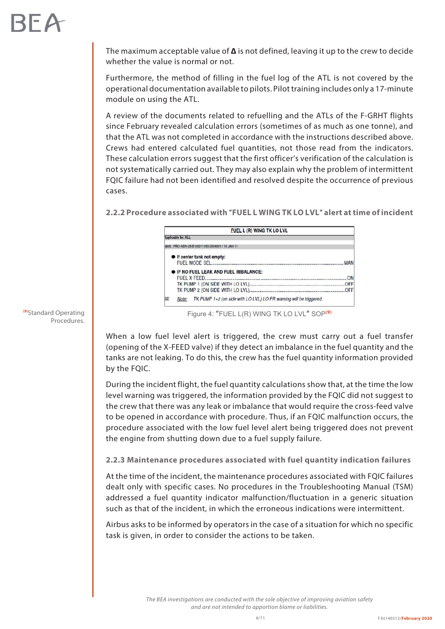The maximum acceptable value of **Δ** is not defined, leaving it up to the crew to decide whether the value is normal or not.

Furthermore, the method of filling in the fuel log of the ATL is not covered by the operational documentation available to pilots. Pilot training includes only a 17-minute module on using the ATL.

A review of the documents related to refuelling and the ATLs of the F-GRHT flights since February revealed calculation errors (sometimes of as much as one tonne), and that the ATL was not completed in accordance with the instructions described above. Crews had entered calculated fuel quantities, not those read from the indicators. These calculation errors suggest that the first officer's verification of the calculation is not systematically carried out. They may also explain why the problem of intermittent FQIC failure had not been identified and resolved despite the occurrence of previous cases.

#### **2.2.2 Procedure associated with** "**FUEL L WING TK LO LVL**" **alert at time of incident**



Figure 4: "FUEL L(R) WING TK LO LVL" SOP**(9)**

When a low fuel level alert is triggered, the crew must carry out a fuel transfer (opening of the X-FEED valve) if they detect an imbalance in the fuel quantity and the tanks are not leaking. To do this, the crew has the fuel quantity information provided by the FQIC.

During the incident flight, the fuel quantity calculations show that, at the time the low level warning was triggered, the information provided by the FQIC did not suggest to the crew that there was any leak or imbalance that would require the cross-feed valve to be opened in accordance with procedure. Thus, if an FQIC malfunction occurs, the procedure associated with the low fuel level alert being triggered does not prevent the engine from shutting down due to a fuel supply failure.

#### **2.2.3 Maintenance procedures associated with fuel quantity indication failures**

At the time of the incident, the maintenance procedures associated with FQIC failures dealt only with specific cases. No procedures in the Troubleshooting Manual (TSM) addressed a fuel quantity indicator malfunction/fluctuation in a generic situation such as that of the incident, in which the erroneous indications were intermittent.

Airbus asks to be informed by operators in the case of a situation for which no specific task is given, in order to consider the actions to be taken.

**(9)**Standard Operating Procedures.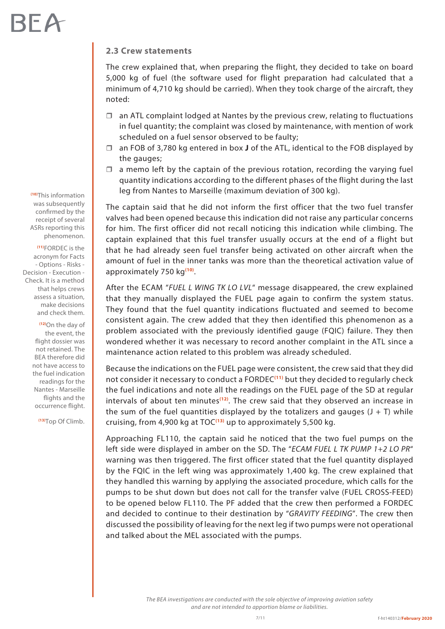#### **2.3 Crew statements**

The crew explained that, when preparing the flight, they decided to take on board 5,000 kg of fuel (the software used for flight preparation had calculated that a minimum of 4,710 kg should be carried). When they took charge of the aircraft, they noted:

- $\Box$  an ATL complaint lodged at Nantes by the previous crew, relating to fluctuations in fuel quantity; the complaint was closed by maintenance, with mention of work scheduled on a fuel sensor observed to be faulty;
- an FOB of 3,780 kg entered in box **J** of the ATL, identical to the FOB displayed by the gauges;
- $\Box$  a memo left by the captain of the previous rotation, recording the varying fuel quantity indications according to the different phases of the flight during the last leg from Nantes to Marseille (maximum deviation of 300 kg).

The captain said that he did not inform the first officer that the two fuel transfer valves had been opened because this indication did not raise any particular concerns for him. The first officer did not recall noticing this indication while climbing. The captain explained that this fuel transfer usually occurs at the end of a flight but that he had already seen fuel transfer being activated on other aircraft when the amount of fuel in the inner tanks was more than the theoretical activation value of approximately 750 kg**(10)**.

After the ECAM "*FUEL L WING TK LO LVL*" message disappeared, the crew explained that they manually displayed the FUEL page again to confirm the system status. They found that the fuel quantity indications fluctuated and seemed to become consistent again. The crew added that they then identified this phenomenon as a problem associated with the previously identified gauge (FQIC) failure. They then wondered whether it was necessary to record another complaint in the ATL since a maintenance action related to this problem was already scheduled.

Because the indications on the FUEL page were consistent, the crew said that they did not consider it necessary to conduct a FORDEC**(11)** but they decided to regularly check the fuel indications and note all the readings on the FUEL page of the SD at regular intervals of about ten minutes**(12)**. The crew said that they observed an increase in the sum of the fuel quantities displayed by the totalizers and gauges  $(J + T)$  while cruising, from 4,900 kg at TOC**(13)** up to approximately 5,500 kg.

Approaching FL110, the captain said he noticed that the two fuel pumps on the left side were displayed in amber on the SD. The "*ECAM FUEL L TK PUMP 1+2 LO PR*" warning was then triggered. The first officer stated that the fuel quantity displayed by the FQIC in the left wing was approximately 1,400 kg. The crew explained that they handled this warning by applying the associated procedure, which calls for the pumps to be shut down but does not call for the transfer valve (FUEL CROSS-FEED) to be opened below FL110. The PF added that the crew then performed a FORDEC and decided to continue to their destination by "*GRAVITY FEEDING*". The crew then discussed the possibility of leaving for the next leg if two pumps were not operational and talked about the MEL associated with the pumps.

> *The BEA investigations are conducted with the sole objective of improving aviation safety and are not intended to apportion blame or liabilities.*

**(10)**This information was subsequently confirmed by the receipt of several ASRs reporting this phenomenon.

**(11)**FORDEC is the acronym for Facts - Options - Risks - Decision - Execution - Check. It is a method that helps crews assess a situation, make decisions and check them.

> **(12)**On the day of the event, the flight dossier was not retained. The BEA therefore did not have access to the fuel indication readings for the Nantes - Marseille flights and the occurrence flight.

**(13)**Top Of Climb.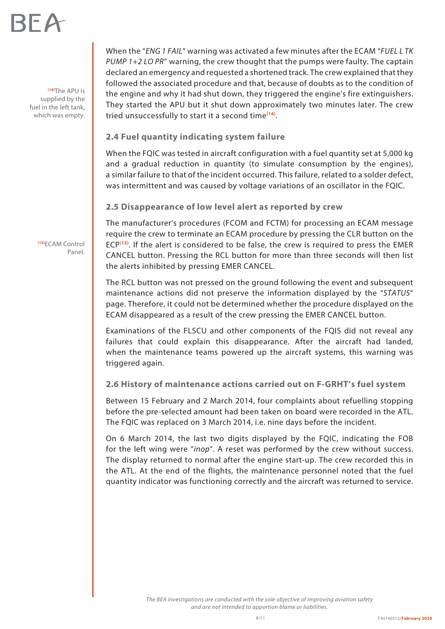# RFA

**(14)**The APU is supplied by the fuel in the left tank, which was empty. When the "*ENG 1 FAIL*" warning was activated a few minutes after the ECAM "*FUEL L TK PUMP 1+2 LO PR*" warning, the crew thought that the pumps were faulty. The captain declared an emergency and requested a shortened track. The crew explained that they followed the associated procedure and that, because of doubts as to the condition of the engine and why it had shut down, they triggered the engine's fire extinguishers. They started the APU but it shut down approximately two minutes later. The crew tried unsuccessfully to start it a second time**(14)**.

#### **2.4 Fuel quantity indicating system failure**

When the FQIC was tested in aircraft configuration with a fuel quantity set at 5,000 kg and a gradual reduction in quantity (to simulate consumption by the engines), a similar failure to that of the incident occurred. This failure, related to a solder defect, was intermittent and was caused by voltage variations of an oscillator in the FQIC.

#### **2.5 Disappearance of low level alert as reported by crew**

The manufacturer's procedures (FCOM and FCTM) for processing an ECAM message require the crew to terminate an ECAM procedure by pressing the CLR button on the ECP**(15)**. If the alert is considered to be false, the crew is required to press the EMER CANCEL button. Pressing the RCL button for more than three seconds will then list the alerts inhibited by pressing EMER CANCEL.

The RCL button was not pressed on the ground following the event and subsequent maintenance actions did not preserve the information displayed by the "*STATUS*" page. Therefore, it could not be determined whether the procedure displayed on the ECAM disappeared as a result of the crew pressing the EMER CANCEL button.

Examinations of the FLSCU and other components of the FQIS did not reveal any failures that could explain this disappearance. After the aircraft had landed, when the maintenance teams powered up the aircraft systems, this warning was triggered again.

**2.6 History of maintenance actions carried out on F-GRHT's fuel system** 

Between 15 February and 2 March 2014, four complaints about refuelling stopping before the pre-selected amount had been taken on board were recorded in the ATL. The FQIC was replaced on 3 March 2014, i.e. nine days before the incident.

On 6 March 2014, the last two digits displayed by the FQIC, indicating the FOB for the left wing were "*inop*". A reset was performed by the crew without success. The display returned to normal after the engine start-up. The crew recorded this in the ATL. At the end of the flights, the maintenance personnel noted that the fuel quantity indicator was functioning correctly and the aircraft was returned to service.

**(15)**ECAM Control Panel.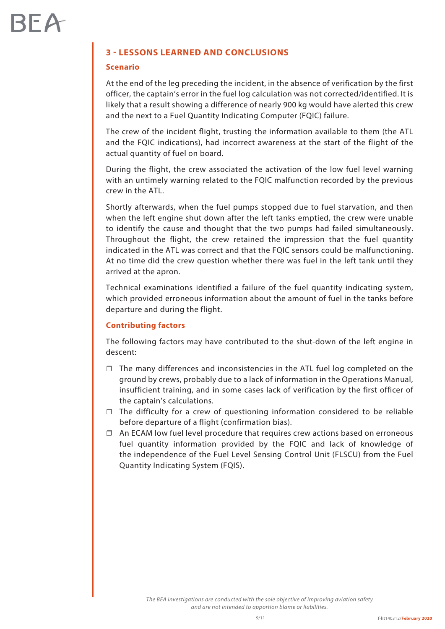#### **3 - LESSONS LEARNED AND CONCLUSIONS**

#### **Scenario**

At the end of the leg preceding the incident, in the absence of verification by the first officer, the captain's error in the fuel log calculation was not corrected/identified. It is likely that a result showing a difference of nearly 900 kg would have alerted this crew and the next to a Fuel Quantity Indicating Computer (FQIC) failure.

The crew of the incident flight, trusting the information available to them (the ATL and the FQIC indications), had incorrect awareness at the start of the flight of the actual quantity of fuel on board.

During the flight, the crew associated the activation of the low fuel level warning with an untimely warning related to the FQIC malfunction recorded by the previous crew in the ATL.

Shortly afterwards, when the fuel pumps stopped due to fuel starvation, and then when the left engine shut down after the left tanks emptied, the crew were unable to identify the cause and thought that the two pumps had failed simultaneously. Throughout the flight, the crew retained the impression that the fuel quantity indicated in the ATL was correct and that the FQIC sensors could be malfunctioning. At no time did the crew question whether there was fuel in the left tank until they arrived at the apron.

Technical examinations identified a failure of the fuel quantity indicating system, which provided erroneous information about the amount of fuel in the tanks before departure and during the flight.

#### **Contributing factors**

The following factors may have contributed to the shut-down of the left engine in descent:

- $\Box$  The many differences and inconsistencies in the ATL fuel log completed on the ground by crews, probably due to a lack of information in the Operations Manual, insufficient training, and in some cases lack of verification by the first officer of the captain's calculations.
- $\Box$  The difficulty for a crew of questioning information considered to be reliable before departure of a flight (confirmation bias).
- $\Box$  An ECAM low fuel level procedure that requires crew actions based on erroneous fuel quantity information provided by the FQIC and lack of knowledge of the independence of the Fuel Level Sensing Control Unit (FLSCU) from the Fuel Quantity Indicating System (FQIS).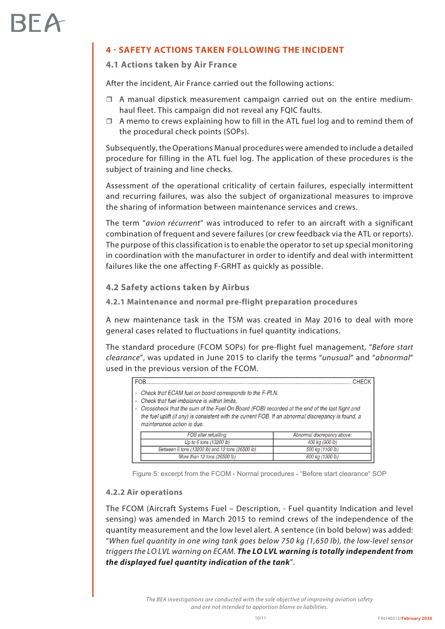### **4 - SAFETY ACTIONS TAKEN FOLLOWING THE INCIDENT**

#### **4.1 Actions taken by Air France**

After the incident, Air France carried out the following actions:

- $\Box$  A manual dipstick measurement campaign carried out on the entire mediumhaul fleet. This campaign did not reveal any FQIC faults.
- $\Box$  A memo to crews explaining how to fill in the ATL fuel log and to remind them of the procedural check points (SOPs).

Subsequently, the Operations Manual procedures were amended to include a detailed procedure for filling in the ATL fuel log. The application of these procedures is the subject of training and line checks.

Assessment of the operational criticality of certain failures, especially intermittent and recurring failures, was also the subject of organizational measures to improve the sharing of information between maintenance services and crews.

The term "*avion récurrent*" was introduced to refer to an aircraft with a significant combination of frequent and severe failures (or crew feedback via the ATL or reports). The purpose of this classification is to enable the operator to set up special monitoring in coordination with the manufacturer in order to identify and deal with intermittent failures like the one affecting F-GRHT as quickly as possible.

**4.2 Safety actions taken by Airbus** 

**4.2.1 Maintenance and normal pre-flight preparation procedures** 

A new maintenance task in the TSM was created in May 2016 to deal with more general cases related to fluctuations in fuel quantity indications.

The standard procedure (FCOM SOPs) for pre-flight fuel management, "*Before start clearance*", was updated in June 2015 to clarify the terms "*unusual*" and "*abnormal*" used in the previous version of the FCOM.

| <b>FOR</b>                                                                                                                                                                                                                                                                                                                                   | CHECK                       |
|----------------------------------------------------------------------------------------------------------------------------------------------------------------------------------------------------------------------------------------------------------------------------------------------------------------------------------------------|-----------------------------|
| Check that ECAM fuel on board corresponds to the F-PLN.<br>Check that fuel imbalance is within limits.<br>Crosscheck that the sum of the Fuel On Board (FOB) recorded at the end of the last flight and<br>the fuel uplift (if any) is consistent with the current FOB. If an abnormal discrepancy is found, a<br>maintenance action is due. |                             |
| FOB after refuelling:                                                                                                                                                                                                                                                                                                                        | Abnormal discrepancy above: |
| Up to 6 tons (13200 lb)                                                                                                                                                                                                                                                                                                                      | 400 kg (900 lb)             |
| Between 6 tons (13200 lb) and 12 tons (26500 lb)                                                                                                                                                                                                                                                                                             | 500 kg (1100 lb)            |
| More than 12 tons (26500 lb)                                                                                                                                                                                                                                                                                                                 | 600 kg (1300 lb)            |

Figure 5: excerpt from the FCOM - Normal procedures - "Before start clearance" SOP

#### **4.2.2 Air operations**

The FCOM (Aircraft Systems Fuel – Description, - Fuel quantity Indication and level sensing) was amended in March 2015 to remind crews of the independence of the quantity measurement and the low level alert. A sentence (in bold below) was added: "*When fuel quantity in one wing tank goes below 750 kg (1,650 lb), the low‑level sensor triggers the LO LVL warning on ECAM. The LO LVL warning is totally independent from the displayed fuel quantity indication of the tank*".